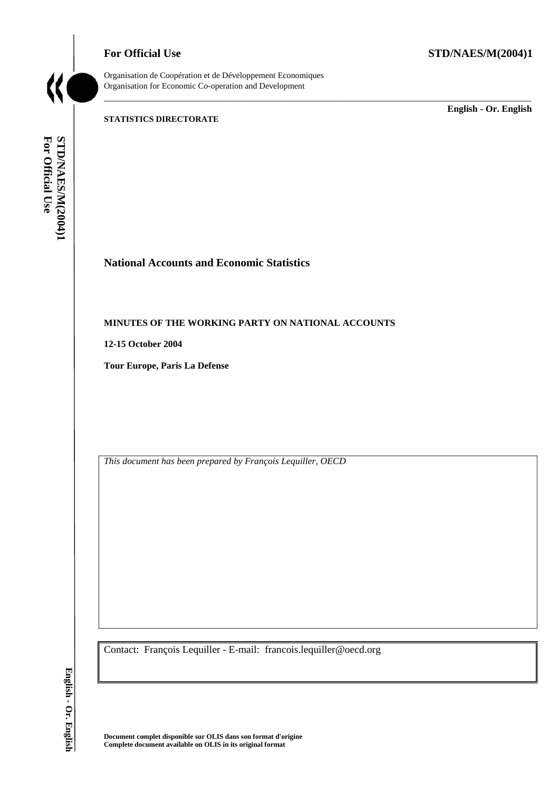

Organisation de Coopération et de Développement Economiques Organisation for Economic Co-operation and Development

\_\_\_\_\_\_\_\_\_\_\_\_\_\_\_\_\_\_\_\_\_\_\_\_\_\_\_\_\_\_\_\_\_\_\_\_\_\_\_\_\_\_\_\_\_\_\_\_\_\_\_\_\_\_\_\_\_\_\_\_\_\_\_\_\_\_\_\_\_\_\_\_\_\_\_\_\_\_\_\_\_\_\_\_\_\_\_\_\_\_\_

# **STATISTICS DIRECTORATE**

\_\_\_\_\_\_\_\_\_\_\_\_\_ **English - Or. English** 

STD/NAES/M(2004)1<br>For Official Use **For Official Use STD/NAES/M(2004)1 English - Or. English**

# **National Accounts and Economic Statistics**

# **MINUTES OF THE WORKING PARTY ON NATIONAL ACCOUNTS**

**12-15 October 2004** 

**Tour Europe, Paris La Defense** 

*This document has been prepared by François Lequiller, OECD* 

Contact: François Lequiller - E-mail: francois.lequiller@oecd.org

**Document complet disponible sur OLIS dans son format d'origine Complete document available on OLIS in its original format**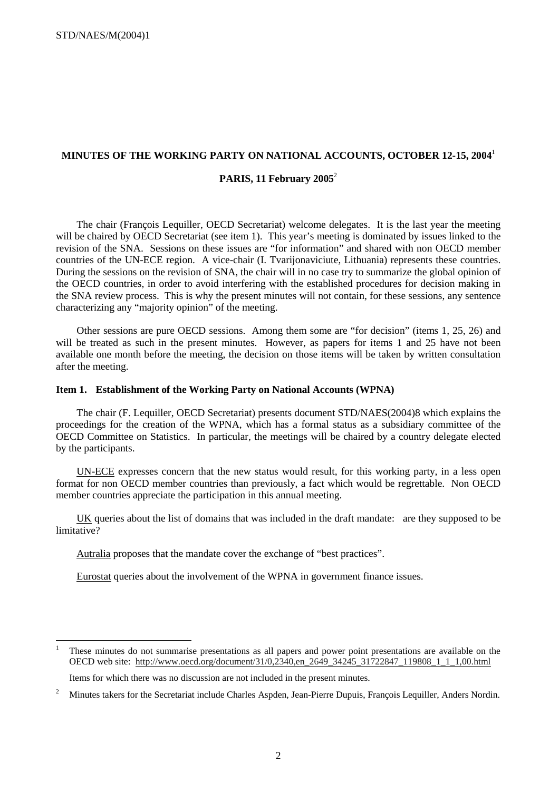# **MINUTES OF THE WORKING PARTY ON NATIONAL ACCOUNTS, OCTOBER 12-15, 2004**<sup>1</sup>

# **PARIS, 11 February 2005**<sup>2</sup>

The chair (François Lequiller, OECD Secretariat) welcome delegates. It is the last year the meeting will be chaired by OECD Secretariat (see item 1). This year's meeting is dominated by issues linked to the revision of the SNA. Sessions on these issues are "for information" and shared with non OECD member countries of the UN-ECE region. A vice-chair (I. Tvarijonaviciute, Lithuania) represents these countries. During the sessions on the revision of SNA, the chair will in no case try to summarize the global opinion of the OECD countries, in order to avoid interfering with the established procedures for decision making in the SNA review process. This is why the present minutes will not contain, for these sessions, any sentence characterizing any "majority opinion" of the meeting.

Other sessions are pure OECD sessions. Among them some are "for decision" (items 1, 25, 26) and will be treated as such in the present minutes. However, as papers for items 1 and 25 have not been available one month before the meeting, the decision on those items will be taken by written consultation after the meeting.

#### **Item 1. Establishment of the Working Party on National Accounts (WPNA)**

The chair (F. Lequiller, OECD Secretariat) presents document STD/NAES(2004)8 which explains the proceedings for the creation of the WPNA, which has a formal status as a subsidiary committee of the OECD Committee on Statistics. In particular, the meetings will be chaired by a country delegate elected by the participants.

UN-ECE expresses concern that the new status would result, for this working party, in a less open format for non OECD member countries than previously, a fact which would be regrettable. Non OECD member countries appreciate the participation in this annual meeting.

UK queries about the list of domains that was included in the draft mandate: are they supposed to be limitative?

Autralia proposes that the mandate cover the exchange of "best practices".

Eurostat queries about the involvement of the WPNA in government finance issues.

<sup>|&</sup>lt;br>|<br>| These minutes do not summarise presentations as all papers and power point presentations are available on the OECD web site: http://www.oecd.org/document/31/0,2340,en\_2649\_34245\_31722847\_119808\_1\_1\_1,00.html Items for which there was no discussion are not included in the present minutes.

<sup>2</sup> Minutes takers for the Secretariat include Charles Aspden, Jean-Pierre Dupuis, François Lequiller, Anders Nordin.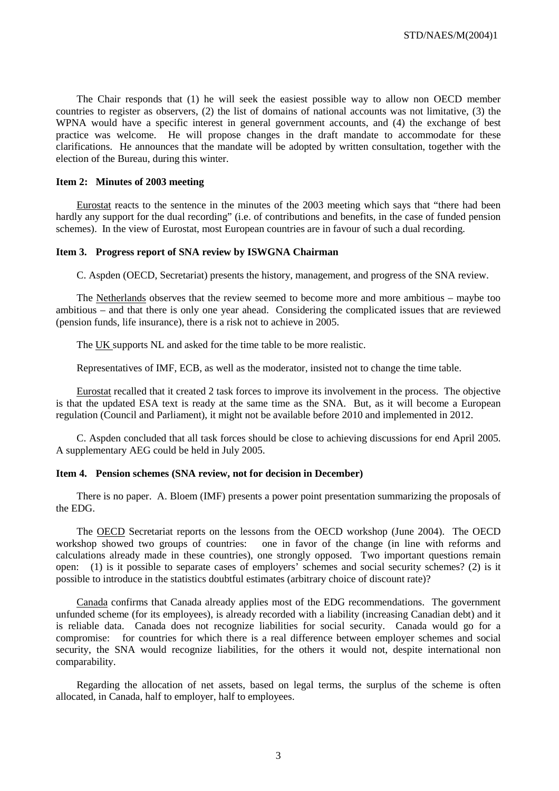The Chair responds that (1) he will seek the easiest possible way to allow non OECD member countries to register as observers, (2) the list of domains of national accounts was not limitative, (3) the WPNA would have a specific interest in general government accounts, and (4) the exchange of best practice was welcome. He will propose changes in the draft mandate to accommodate for these clarifications. He announces that the mandate will be adopted by written consultation, together with the election of the Bureau, during this winter.

#### **Item 2: Minutes of 2003 meeting**

Eurostat reacts to the sentence in the minutes of the 2003 meeting which says that "there had been hardly any support for the dual recording" (i.e. of contributions and benefits, in the case of funded pension schemes). In the view of Eurostat, most European countries are in favour of such a dual recording.

# **Item 3. Progress report of SNA review by ISWGNA Chairman**

C. Aspden (OECD, Secretariat) presents the history, management, and progress of the SNA review.

The Netherlands observes that the review seemed to become more and more ambitious – maybe too ambitious – and that there is only one year ahead. Considering the complicated issues that are reviewed (pension funds, life insurance), there is a risk not to achieve in 2005.

The UK supports NL and asked for the time table to be more realistic.

Representatives of IMF, ECB, as well as the moderator, insisted not to change the time table.

Eurostat recalled that it created 2 task forces to improve its involvement in the process. The objective is that the updated ESA text is ready at the same time as the SNA. But, as it will become a European regulation (Council and Parliament), it might not be available before 2010 and implemented in 2012.

C. Aspden concluded that all task forces should be close to achieving discussions for end April 2005. A supplementary AEG could be held in July 2005.

#### **Item 4. Pension schemes (SNA review, not for decision in December)**

There is no paper. A. Bloem (IMF) presents a power point presentation summarizing the proposals of the EDG.

The OECD Secretariat reports on the lessons from the OECD workshop (June 2004). The OECD workshop showed two groups of countries: one in favor of the change (in line with reforms and calculations already made in these countries), one strongly opposed. Two important questions remain open: (1) is it possible to separate cases of employers' schemes and social security schemes? (2) is it possible to introduce in the statistics doubtful estimates (arbitrary choice of discount rate)?

Canada confirms that Canada already applies most of the EDG recommendations. The government unfunded scheme (for its employees), is already recorded with a liability (increasing Canadian debt) and it is reliable data. Canada does not recognize liabilities for social security. Canada would go for a compromise: for countries for which there is a real difference between employer schemes and social security, the SNA would recognize liabilities, for the others it would not, despite international non comparability.

Regarding the allocation of net assets, based on legal terms, the surplus of the scheme is often allocated, in Canada, half to employer, half to employees.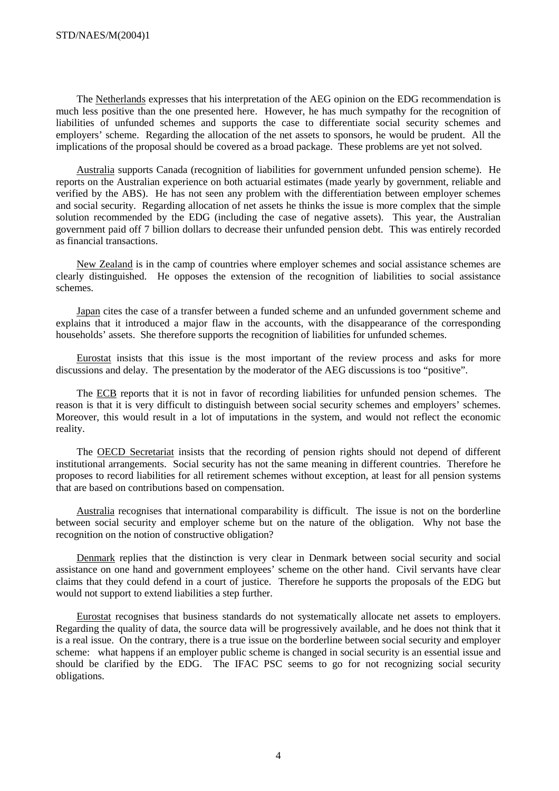The Netherlands expresses that his interpretation of the AEG opinion on the EDG recommendation is much less positive than the one presented here. However, he has much sympathy for the recognition of liabilities of unfunded schemes and supports the case to differentiate social security schemes and employers' scheme. Regarding the allocation of the net assets to sponsors, he would be prudent. All the implications of the proposal should be covered as a broad package. These problems are yet not solved.

Australia supports Canada (recognition of liabilities for government unfunded pension scheme). He reports on the Australian experience on both actuarial estimates (made yearly by government, reliable and verified by the ABS). He has not seen any problem with the differentiation between employer schemes and social security. Regarding allocation of net assets he thinks the issue is more complex that the simple solution recommended by the EDG (including the case of negative assets). This year, the Australian government paid off 7 billion dollars to decrease their unfunded pension debt. This was entirely recorded as financial transactions.

New Zealand is in the camp of countries where employer schemes and social assistance schemes are clearly distinguished. He opposes the extension of the recognition of liabilities to social assistance schemes.

Japan cites the case of a transfer between a funded scheme and an unfunded government scheme and explains that it introduced a major flaw in the accounts, with the disappearance of the corresponding households' assets. She therefore supports the recognition of liabilities for unfunded schemes.

Eurostat insists that this issue is the most important of the review process and asks for more discussions and delay. The presentation by the moderator of the AEG discussions is too "positive".

The ECB reports that it is not in favor of recording liabilities for unfunded pension schemes. The reason is that it is very difficult to distinguish between social security schemes and employers' schemes. Moreover, this would result in a lot of imputations in the system, and would not reflect the economic reality.

The OECD Secretariat insists that the recording of pension rights should not depend of different institutional arrangements. Social security has not the same meaning in different countries. Therefore he proposes to record liabilities for all retirement schemes without exception, at least for all pension systems that are based on contributions based on compensation.

Australia recognises that international comparability is difficult. The issue is not on the borderline between social security and employer scheme but on the nature of the obligation. Why not base the recognition on the notion of constructive obligation?

Denmark replies that the distinction is very clear in Denmark between social security and social assistance on one hand and government employees' scheme on the other hand. Civil servants have clear claims that they could defend in a court of justice. Therefore he supports the proposals of the EDG but would not support to extend liabilities a step further.

Eurostat recognises that business standards do not systematically allocate net assets to employers. Regarding the quality of data, the source data will be progressively available, and he does not think that it is a real issue. On the contrary, there is a true issue on the borderline between social security and employer scheme: what happens if an employer public scheme is changed in social security is an essential issue and should be clarified by the EDG. The IFAC PSC seems to go for not recognizing social security obligations.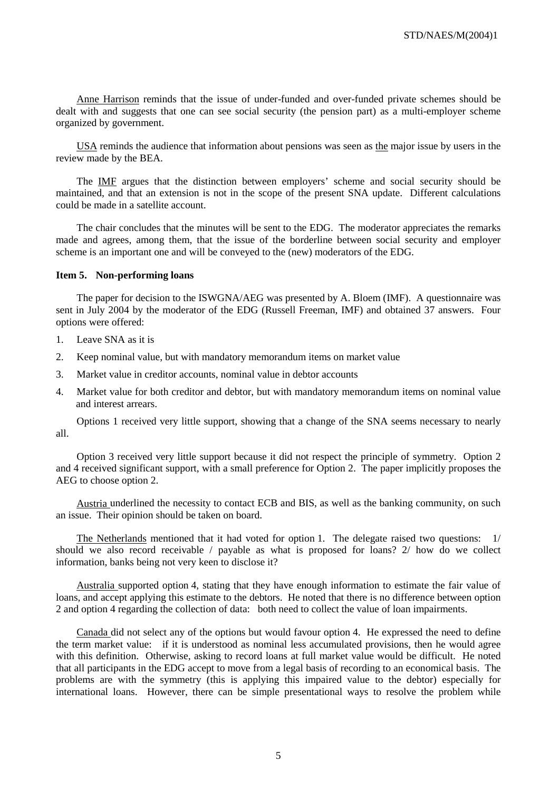Anne Harrison reminds that the issue of under-funded and over-funded private schemes should be dealt with and suggests that one can see social security (the pension part) as a multi-employer scheme organized by government.

USA reminds the audience that information about pensions was seen as the major issue by users in the review made by the BEA.

The IMF argues that the distinction between employers' scheme and social security should be maintained, and that an extension is not in the scope of the present SNA update. Different calculations could be made in a satellite account.

The chair concludes that the minutes will be sent to the EDG. The moderator appreciates the remarks made and agrees, among them, that the issue of the borderline between social security and employer scheme is an important one and will be conveyed to the (new) moderators of the EDG.

#### **Item 5. Non-performing loans**

The paper for decision to the ISWGNA/AEG was presented by A. Bloem (IMF). A questionnaire was sent in July 2004 by the moderator of the EDG (Russell Freeman, IMF) and obtained 37 answers. Four options were offered:

- 1. Leave SNA as it is
- 2. Keep nominal value, but with mandatory memorandum items on market value
- 3. Market value in creditor accounts, nominal value in debtor accounts
- 4. Market value for both creditor and debtor, but with mandatory memorandum items on nominal value and interest arrears.

Options 1 received very little support, showing that a change of the SNA seems necessary to nearly all.

Option 3 received very little support because it did not respect the principle of symmetry. Option 2 and 4 received significant support, with a small preference for Option 2. The paper implicitly proposes the AEG to choose option 2.

Austria underlined the necessity to contact ECB and BIS, as well as the banking community, on such an issue. Their opinion should be taken on board.

The Netherlands mentioned that it had voted for option 1. The delegate raised two questions: 1/ should we also record receivable / payable as what is proposed for loans? 2/ how do we collect information, banks being not very keen to disclose it?

Australia supported option 4, stating that they have enough information to estimate the fair value of loans, and accept applying this estimate to the debtors. He noted that there is no difference between option 2 and option 4 regarding the collection of data: both need to collect the value of loan impairments.

Canada did not select any of the options but would favour option 4. He expressed the need to define the term market value: if it is understood as nominal less accumulated provisions, then he would agree with this definition. Otherwise, asking to record loans at full market value would be difficult. He noted that all participants in the EDG accept to move from a legal basis of recording to an economical basis. The problems are with the symmetry (this is applying this impaired value to the debtor) especially for international loans. However, there can be simple presentational ways to resolve the problem while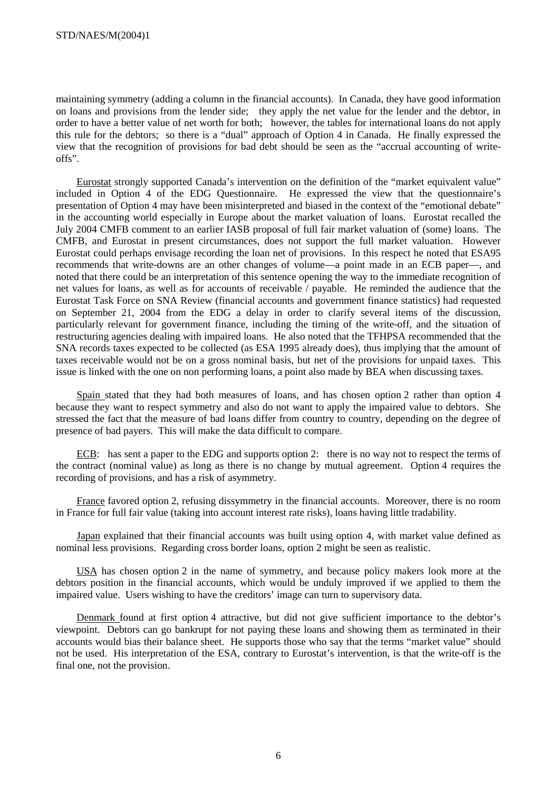maintaining symmetry (adding a column in the financial accounts). In Canada, they have good information on loans and provisions from the lender side; they apply the net value for the lender and the debtor, in order to have a better value of net worth for both; however, the tables for international loans do not apply this rule for the debtors; so there is a "dual" approach of Option 4 in Canada. He finally expressed the view that the recognition of provisions for bad debt should be seen as the "accrual accounting of writeoffs".

Eurostat strongly supported Canada's intervention on the definition of the "market equivalent value" included in Option 4 of the EDG Questionnaire. He expressed the view that the questionnaire's presentation of Option 4 may have been misinterpreted and biased in the context of the "emotional debate" in the accounting world especially in Europe about the market valuation of loans. Eurostat recalled the July 2004 CMFB comment to an earlier IASB proposal of full fair market valuation of (some) loans. The CMFB, and Eurostat in present circumstances, does not support the full market valuation. However Eurostat could perhaps envisage recording the loan net of provisions. In this respect he noted that ESA95 recommends that write-downs are an other changes of volume—a point made in an ECB paper—, and noted that there could be an interpretation of this sentence opening the way to the immediate recognition of net values for loans, as well as for accounts of receivable / payable. He reminded the audience that the Eurostat Task Force on SNA Review (financial accounts and government finance statistics) had requested on September 21, 2004 from the EDG a delay in order to clarify several items of the discussion, particularly relevant for government finance, including the timing of the write-off, and the situation of restructuring agencies dealing with impaired loans. He also noted that the TFHPSA recommended that the SNA records taxes expected to be collected (as ESA 1995 already does), thus implying that the amount of taxes receivable would not be on a gross nominal basis, but net of the provisions for unpaid taxes. This issue is linked with the one on non performing loans, a point also made by BEA when discussing taxes.

Spain stated that they had both measures of loans, and has chosen option 2 rather than option 4 because they want to respect symmetry and also do not want to apply the impaired value to debtors. She stressed the fact that the measure of bad loans differ from country to country, depending on the degree of presence of bad payers. This will make the data difficult to compare.

ECB: has sent a paper to the EDG and supports option 2: there is no way not to respect the terms of the contract (nominal value) as long as there is no change by mutual agreement. Option 4 requires the recording of provisions, and has a risk of asymmetry.

France favored option 2, refusing dissymmetry in the financial accounts. Moreover, there is no room in France for full fair value (taking into account interest rate risks), loans having little tradability.

Japan explained that their financial accounts was built using option 4, with market value defined as nominal less provisions. Regarding cross border loans, option 2 might be seen as realistic.

USA has chosen option 2 in the name of symmetry, and because policy makers look more at the debtors position in the financial accounts, which would be unduly improved if we applied to them the impaired value. Users wishing to have the creditors' image can turn to supervisory data.

Denmark found at first option 4 attractive, but did not give sufficient importance to the debtor's viewpoint. Debtors can go bankrupt for not paying these loans and showing them as terminated in their accounts would bias their balance sheet. He supports those who say that the terms "market value" should not be used. His interpretation of the ESA, contrary to Eurostat's intervention, is that the write-off is the final one, not the provision.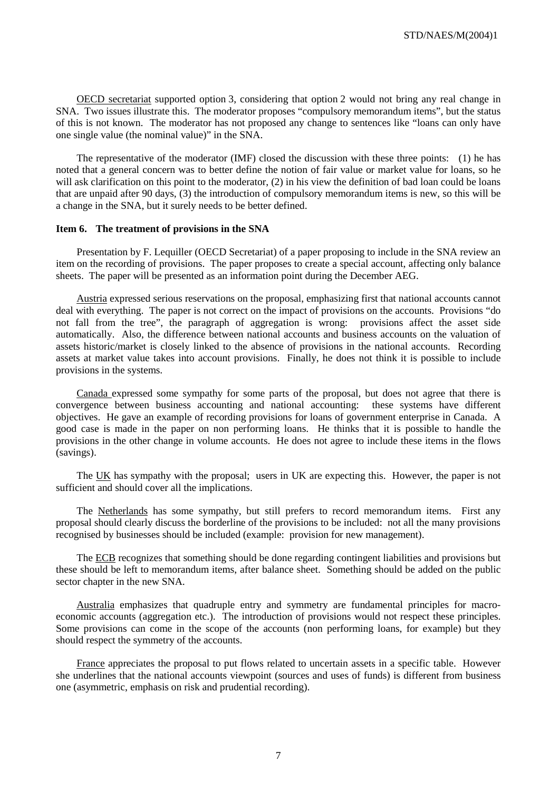OECD secretariat supported option 3, considering that option 2 would not bring any real change in SNA. Two issues illustrate this. The moderator proposes "compulsory memorandum items", but the status of this is not known. The moderator has not proposed any change to sentences like "loans can only have one single value (the nominal value)" in the SNA.

The representative of the moderator (IMF) closed the discussion with these three points: (1) he has noted that a general concern was to better define the notion of fair value or market value for loans, so he will ask clarification on this point to the moderator, (2) in his view the definition of bad loan could be loans that are unpaid after 90 days, (3) the introduction of compulsory memorandum items is new, so this will be a change in the SNA, but it surely needs to be better defined.

### **Item 6. The treatment of provisions in the SNA**

Presentation by F. Lequiller (OECD Secretariat) of a paper proposing to include in the SNA review an item on the recording of provisions. The paper proposes to create a special account, affecting only balance sheets. The paper will be presented as an information point during the December AEG.

Austria expressed serious reservations on the proposal, emphasizing first that national accounts cannot deal with everything. The paper is not correct on the impact of provisions on the accounts. Provisions "do not fall from the tree", the paragraph of aggregation is wrong: provisions affect the asset side automatically. Also, the difference between national accounts and business accounts on the valuation of assets historic/market is closely linked to the absence of provisions in the national accounts. Recording assets at market value takes into account provisions. Finally, he does not think it is possible to include provisions in the systems.

Canada expressed some sympathy for some parts of the proposal, but does not agree that there is convergence between business accounting and national accounting: these systems have different objectives. He gave an example of recording provisions for loans of government enterprise in Canada. A good case is made in the paper on non performing loans. He thinks that it is possible to handle the provisions in the other change in volume accounts. He does not agree to include these items in the flows (savings).

The UK has sympathy with the proposal; users in UK are expecting this. However, the paper is not sufficient and should cover all the implications.

The Netherlands has some sympathy, but still prefers to record memorandum items. First any proposal should clearly discuss the borderline of the provisions to be included: not all the many provisions recognised by businesses should be included (example: provision for new management).

The ECB recognizes that something should be done regarding contingent liabilities and provisions but these should be left to memorandum items, after balance sheet. Something should be added on the public sector chapter in the new SNA.

Australia emphasizes that quadruple entry and symmetry are fundamental principles for macroeconomic accounts (aggregation etc.). The introduction of provisions would not respect these principles. Some provisions can come in the scope of the accounts (non performing loans, for example) but they should respect the symmetry of the accounts.

France appreciates the proposal to put flows related to uncertain assets in a specific table. However she underlines that the national accounts viewpoint (sources and uses of funds) is different from business one (asymmetric, emphasis on risk and prudential recording).

7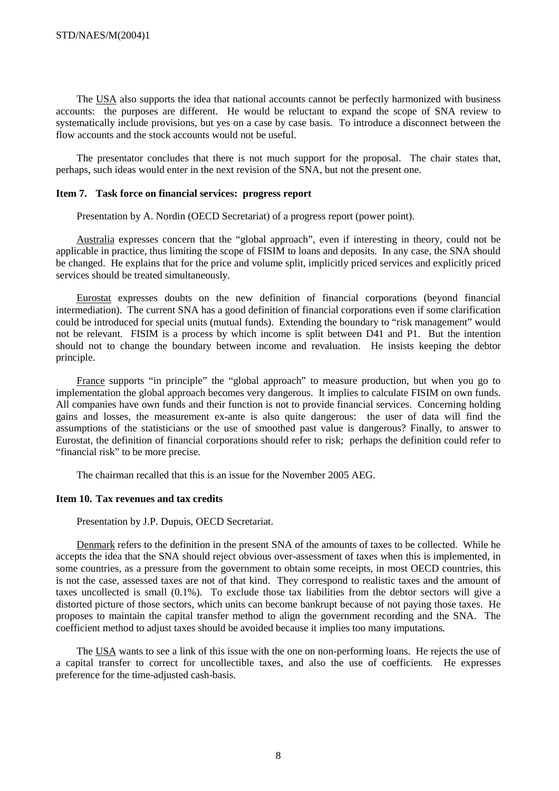The USA also supports the idea that national accounts cannot be perfectly harmonized with business accounts: the purposes are different. He would be reluctant to expand the scope of SNA review to systematically include provisions, but yes on a case by case basis. To introduce a disconnect between the flow accounts and the stock accounts would not be useful.

The presentator concludes that there is not much support for the proposal. The chair states that, perhaps, such ideas would enter in the next revision of the SNA, but not the present one.

#### **Item 7. Task force on financial services: progress report**

Presentation by A. Nordin (OECD Secretariat) of a progress report (power point).

Australia expresses concern that the "global approach", even if interesting in theory, could not be applicable in practice, thus limiting the scope of FISIM to loans and deposits. In any case, the SNA should be changed. He explains that for the price and volume split, implicitly priced services and explicitly priced services should be treated simultaneously.

Eurostat expresses doubts on the new definition of financial corporations (beyond financial intermediation). The current SNA has a good definition of financial corporations even if some clarification could be introduced for special units (mutual funds). Extending the boundary to "risk management" would not be relevant. FISIM is a process by which income is split between D41 and P1. But the intention should not to change the boundary between income and revaluation. He insists keeping the debtor principle.

France supports "in principle" the "global approach" to measure production, but when you go to implementation the global approach becomes very dangerous. It implies to calculate FISIM on own funds. All companies have own funds and their function is not to provide financial services. Concerning holding gains and losses, the measurement ex-ante is also quite dangerous: the user of data will find the assumptions of the statisticians or the use of smoothed past value is dangerous? Finally, to answer to Eurostat, the definition of financial corporations should refer to risk; perhaps the definition could refer to "financial risk" to be more precise.

The chairman recalled that this is an issue for the November 2005 AEG.

# **Item 10. Tax revenues and tax credits**

Presentation by J.P. Dupuis, OECD Secretariat.

Denmark refers to the definition in the present SNA of the amounts of taxes to be collected. While he accepts the idea that the SNA should reject obvious over-assessment of taxes when this is implemented, in some countries, as a pressure from the government to obtain some receipts, in most OECD countries, this is not the case, assessed taxes are not of that kind. They correspond to realistic taxes and the amount of taxes uncollected is small (0.1%). To exclude those tax liabilities from the debtor sectors will give a distorted picture of those sectors, which units can become bankrupt because of not paying those taxes. He proposes to maintain the capital transfer method to align the government recording and the SNA. The coefficient method to adjust taxes should be avoided because it implies too many imputations.

The USA wants to see a link of this issue with the one on non-performing loans. He rejects the use of a capital transfer to correct for uncollectible taxes, and also the use of coefficients. He expresses preference for the time-adjusted cash-basis.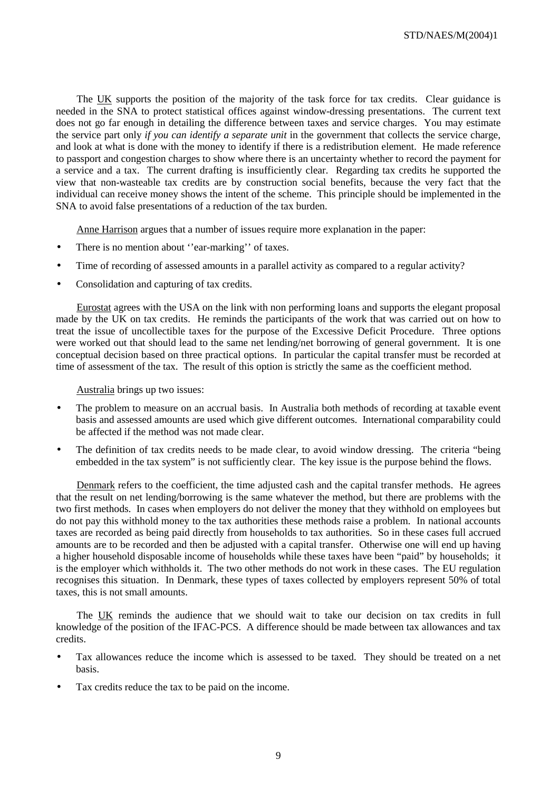The UK supports the position of the majority of the task force for tax credits. Clear guidance is needed in the SNA to protect statistical offices against window-dressing presentations. The current text does not go far enough in detailing the difference between taxes and service charges. You may estimate the service part only *if you can identify a separate unit* in the government that collects the service charge, and look at what is done with the money to identify if there is a redistribution element. He made reference to passport and congestion charges to show where there is an uncertainty whether to record the payment for a service and a tax. The current drafting is insufficiently clear. Regarding tax credits he supported the view that non-wasteable tax credits are by construction social benefits, because the very fact that the individual can receive money shows the intent of the scheme. This principle should be implemented in the SNA to avoid false presentations of a reduction of the tax burden.

Anne Harrison argues that a number of issues require more explanation in the paper:

- There is no mention about "ear-marking" of taxes.
- Time of recording of assessed amounts in a parallel activity as compared to a regular activity?
- Consolidation and capturing of tax credits.

Eurostat agrees with the USA on the link with non performing loans and supports the elegant proposal made by the UK on tax credits. He reminds the participants of the work that was carried out on how to treat the issue of uncollectible taxes for the purpose of the Excessive Deficit Procedure. Three options were worked out that should lead to the same net lending/net borrowing of general government. It is one conceptual decision based on three practical options. In particular the capital transfer must be recorded at time of assessment of the tax. The result of this option is strictly the same as the coefficient method.

Australia brings up two issues:

- The problem to measure on an accrual basis. In Australia both methods of recording at taxable event basis and assessed amounts are used which give different outcomes. International comparability could be affected if the method was not made clear.
- The definition of tax credits needs to be made clear, to avoid window dressing. The criteria "being" embedded in the tax system" is not sufficiently clear. The key issue is the purpose behind the flows.

Denmark refers to the coefficient, the time adjusted cash and the capital transfer methods. He agrees that the result on net lending/borrowing is the same whatever the method, but there are problems with the two first methods. In cases when employers do not deliver the money that they withhold on employees but do not pay this withhold money to the tax authorities these methods raise a problem. In national accounts taxes are recorded as being paid directly from households to tax authorities. So in these cases full accrued amounts are to be recorded and then be adjusted with a capital transfer. Otherwise one will end up having a higher household disposable income of households while these taxes have been "paid" by households; it is the employer which withholds it. The two other methods do not work in these cases. The EU regulation recognises this situation. In Denmark, these types of taxes collected by employers represent 50% of total taxes, this is not small amounts.

The UK reminds the audience that we should wait to take our decision on tax credits in full knowledge of the position of the IFAC-PCS. A difference should be made between tax allowances and tax credits.

- Tax allowances reduce the income which is assessed to be taxed. They should be treated on a net basis.
- Tax credits reduce the tax to be paid on the income.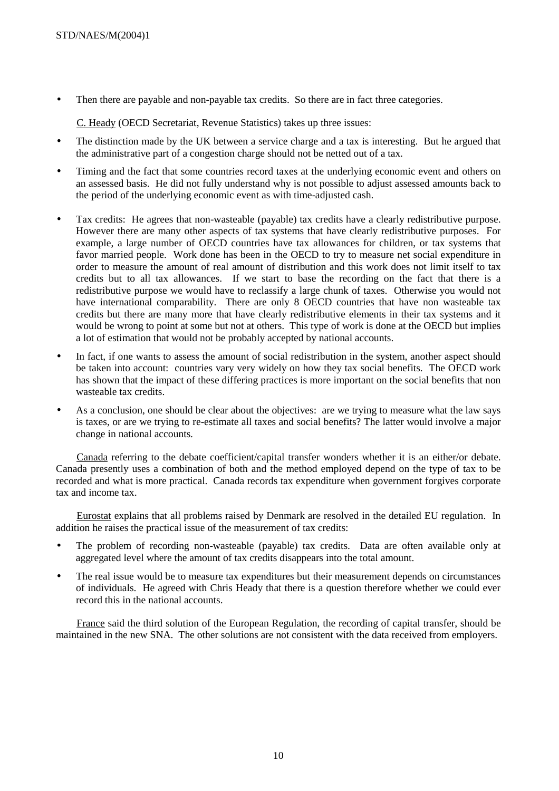• Then there are payable and non-payable tax credits. So there are in fact three categories.

C. Heady (OECD Secretariat, Revenue Statistics) takes up three issues:

- The distinction made by the UK between a service charge and a tax is interesting. But he argued that the administrative part of a congestion charge should not be netted out of a tax.
- Timing and the fact that some countries record taxes at the underlying economic event and others on an assessed basis. He did not fully understand why is not possible to adjust assessed amounts back to the period of the underlying economic event as with time-adjusted cash.
- Tax credits: He agrees that non-wasteable (payable) tax credits have a clearly redistributive purpose. However there are many other aspects of tax systems that have clearly redistributive purposes. For example, a large number of OECD countries have tax allowances for children, or tax systems that favor married people. Work done has been in the OECD to try to measure net social expenditure in order to measure the amount of real amount of distribution and this work does not limit itself to tax credits but to all tax allowances. If we start to base the recording on the fact that there is a redistributive purpose we would have to reclassify a large chunk of taxes. Otherwise you would not have international comparability. There are only 8 OECD countries that have non wasteable tax credits but there are many more that have clearly redistributive elements in their tax systems and it would be wrong to point at some but not at others. This type of work is done at the OECD but implies a lot of estimation that would not be probably accepted by national accounts.
- In fact, if one wants to assess the amount of social redistribution in the system, another aspect should be taken into account: countries vary very widely on how they tax social benefits. The OECD work has shown that the impact of these differing practices is more important on the social benefits that non wasteable tax credits.
- As a conclusion, one should be clear about the objectives: are we trying to measure what the law says is taxes, or are we trying to re-estimate all taxes and social benefits? The latter would involve a major change in national accounts.

Canada referring to the debate coefficient/capital transfer wonders whether it is an either/or debate. Canada presently uses a combination of both and the method employed depend on the type of tax to be recorded and what is more practical. Canada records tax expenditure when government forgives corporate tax and income tax.

Eurostat explains that all problems raised by Denmark are resolved in the detailed EU regulation. In addition he raises the practical issue of the measurement of tax credits:

- The problem of recording non-wasteable (payable) tax credits. Data are often available only at aggregated level where the amount of tax credits disappears into the total amount.
- The real issue would be to measure tax expenditures but their measurement depends on circumstances of individuals. He agreed with Chris Heady that there is a question therefore whether we could ever record this in the national accounts.

France said the third solution of the European Regulation, the recording of capital transfer, should be maintained in the new SNA. The other solutions are not consistent with the data received from employers.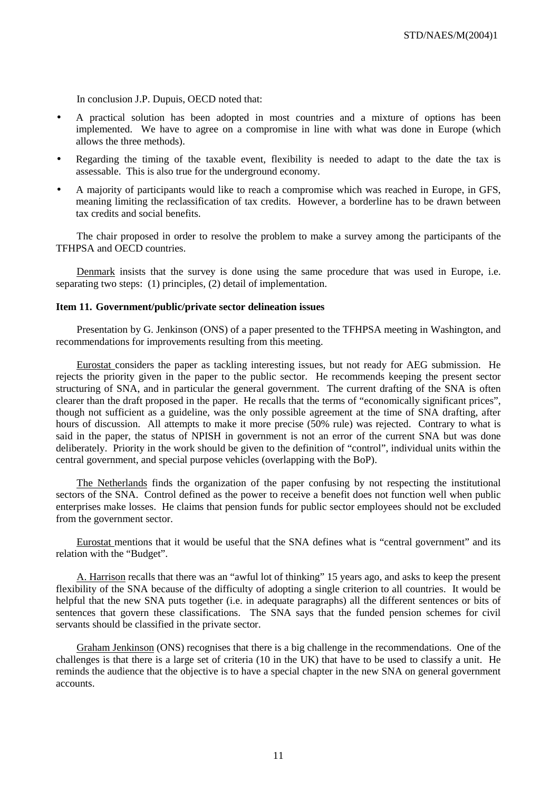In conclusion J.P. Dupuis, OECD noted that:

- A practical solution has been adopted in most countries and a mixture of options has been implemented. We have to agree on a compromise in line with what was done in Europe (which allows the three methods).
- Regarding the timing of the taxable event, flexibility is needed to adapt to the date the tax is assessable. This is also true for the underground economy.
- A majority of participants would like to reach a compromise which was reached in Europe, in GFS, meaning limiting the reclassification of tax credits. However, a borderline has to be drawn between tax credits and social benefits.

The chair proposed in order to resolve the problem to make a survey among the participants of the TFHPSA and OECD countries.

Denmark insists that the survey is done using the same procedure that was used in Europe, i.e. separating two steps: (1) principles, (2) detail of implementation.

# **Item 11. Government/public/private sector delineation issues**

Presentation by G. Jenkinson (ONS) of a paper presented to the TFHPSA meeting in Washington, and recommendations for improvements resulting from this meeting.

Eurostat considers the paper as tackling interesting issues, but not ready for AEG submission. He rejects the priority given in the paper to the public sector. He recommends keeping the present sector structuring of SNA, and in particular the general government. The current drafting of the SNA is often clearer than the draft proposed in the paper. He recalls that the terms of "economically significant prices", though not sufficient as a guideline, was the only possible agreement at the time of SNA drafting, after hours of discussion. All attempts to make it more precise (50% rule) was rejected. Contrary to what is said in the paper, the status of NPISH in government is not an error of the current SNA but was done deliberately. Priority in the work should be given to the definition of "control", individual units within the central government, and special purpose vehicles (overlapping with the BoP).

The Netherlands finds the organization of the paper confusing by not respecting the institutional sectors of the SNA. Control defined as the power to receive a benefit does not function well when public enterprises make losses. He claims that pension funds for public sector employees should not be excluded from the government sector.

Eurostat mentions that it would be useful that the SNA defines what is "central government" and its relation with the "Budget".

A. Harrison recalls that there was an "awful lot of thinking" 15 years ago, and asks to keep the present flexibility of the SNA because of the difficulty of adopting a single criterion to all countries. It would be helpful that the new SNA puts together (i.e. in adequate paragraphs) all the different sentences or bits of sentences that govern these classifications. The SNA says that the funded pension schemes for civil servants should be classified in the private sector.

Graham Jenkinson (ONS) recognises that there is a big challenge in the recommendations. One of the challenges is that there is a large set of criteria (10 in the UK) that have to be used to classify a unit. He reminds the audience that the objective is to have a special chapter in the new SNA on general government accounts.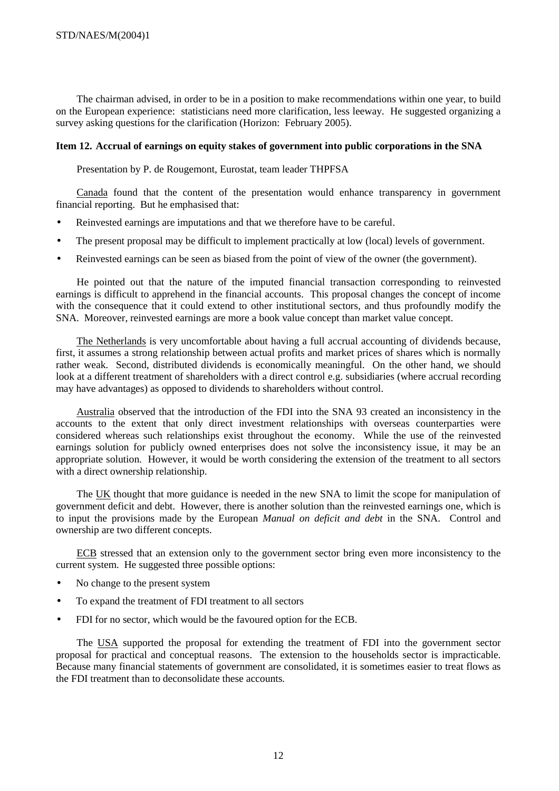The chairman advised, in order to be in a position to make recommendations within one year, to build on the European experience: statisticians need more clarification, less leeway. He suggested organizing a survey asking questions for the clarification (Horizon: February 2005).

# **Item 12. Accrual of earnings on equity stakes of government into public corporations in the SNA**

Presentation by P. de Rougemont, Eurostat, team leader THPFSA

Canada found that the content of the presentation would enhance transparency in government financial reporting. But he emphasised that:

- Reinvested earnings are imputations and that we therefore have to be careful.
- The present proposal may be difficult to implement practically at low (local) levels of government.
- Reinvested earnings can be seen as biased from the point of view of the owner (the government).

He pointed out that the nature of the imputed financial transaction corresponding to reinvested earnings is difficult to apprehend in the financial accounts. This proposal changes the concept of income with the consequence that it could extend to other institutional sectors, and thus profoundly modify the SNA. Moreover, reinvested earnings are more a book value concept than market value concept.

The Netherlands is very uncomfortable about having a full accrual accounting of dividends because, first, it assumes a strong relationship between actual profits and market prices of shares which is normally rather weak. Second, distributed dividends is economically meaningful. On the other hand, we should look at a different treatment of shareholders with a direct control e.g. subsidiaries (where accrual recording may have advantages) as opposed to dividends to shareholders without control.

Australia observed that the introduction of the FDI into the SNA 93 created an inconsistency in the accounts to the extent that only direct investment relationships with overseas counterparties were considered whereas such relationships exist throughout the economy. While the use of the reinvested earnings solution for publicly owned enterprises does not solve the inconsistency issue, it may be an appropriate solution. However, it would be worth considering the extension of the treatment to all sectors with a direct ownership relationship.

The UK thought that more guidance is needed in the new SNA to limit the scope for manipulation of government deficit and debt. However, there is another solution than the reinvested earnings one, which is to input the provisions made by the European *Manual on deficit and debt* in the SNA. Control and ownership are two different concepts.

ECB stressed that an extension only to the government sector bring even more inconsistency to the current system. He suggested three possible options:

- No change to the present system
- To expand the treatment of FDI treatment to all sectors
- FDI for no sector, which would be the favoured option for the ECB.

The USA supported the proposal for extending the treatment of FDI into the government sector proposal for practical and conceptual reasons. The extension to the households sector is impracticable. Because many financial statements of government are consolidated, it is sometimes easier to treat flows as the FDI treatment than to deconsolidate these accounts.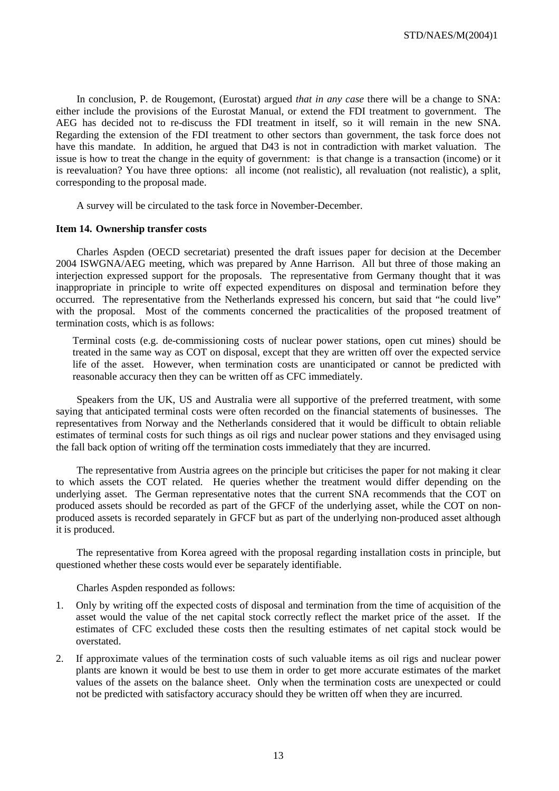In conclusion, P. de Rougemont, (Eurostat) argued *that in any case* there will be a change to SNA: either include the provisions of the Eurostat Manual, or extend the FDI treatment to government. The AEG has decided not to re-discuss the FDI treatment in itself, so it will remain in the new SNA. Regarding the extension of the FDI treatment to other sectors than government, the task force does not have this mandate. In addition, he argued that D43 is not in contradiction with market valuation. The issue is how to treat the change in the equity of government: is that change is a transaction (income) or it is reevaluation? You have three options: all income (not realistic), all revaluation (not realistic), a split, corresponding to the proposal made.

A survey will be circulated to the task force in November-December.

#### **Item 14. Ownership transfer costs**

Charles Aspden (OECD secretariat) presented the draft issues paper for decision at the December 2004 ISWGNA/AEG meeting, which was prepared by Anne Harrison. All but three of those making an interjection expressed support for the proposals. The representative from Germany thought that it was inappropriate in principle to write off expected expenditures on disposal and termination before they occurred. The representative from the Netherlands expressed his concern, but said that "he could live" with the proposal. Most of the comments concerned the practicalities of the proposed treatment of termination costs, which is as follows:

Terminal costs (e.g. de-commissioning costs of nuclear power stations, open cut mines) should be treated in the same way as COT on disposal, except that they are written off over the expected service life of the asset. However, when termination costs are unanticipated or cannot be predicted with reasonable accuracy then they can be written off as CFC immediately.

Speakers from the UK, US and Australia were all supportive of the preferred treatment, with some saying that anticipated terminal costs were often recorded on the financial statements of businesses. The representatives from Norway and the Netherlands considered that it would be difficult to obtain reliable estimates of terminal costs for such things as oil rigs and nuclear power stations and they envisaged using the fall back option of writing off the termination costs immediately that they are incurred.

The representative from Austria agrees on the principle but criticises the paper for not making it clear to which assets the COT related. He queries whether the treatment would differ depending on the underlying asset. The German representative notes that the current SNA recommends that the COT on produced assets should be recorded as part of the GFCF of the underlying asset, while the COT on nonproduced assets is recorded separately in GFCF but as part of the underlying non-produced asset although it is produced.

The representative from Korea agreed with the proposal regarding installation costs in principle, but questioned whether these costs would ever be separately identifiable.

Charles Aspden responded as follows:

- 1. Only by writing off the expected costs of disposal and termination from the time of acquisition of the asset would the value of the net capital stock correctly reflect the market price of the asset. If the estimates of CFC excluded these costs then the resulting estimates of net capital stock would be overstated.
- 2. If approximate values of the termination costs of such valuable items as oil rigs and nuclear power plants are known it would be best to use them in order to get more accurate estimates of the market values of the assets on the balance sheet. Only when the termination costs are unexpected or could not be predicted with satisfactory accuracy should they be written off when they are incurred.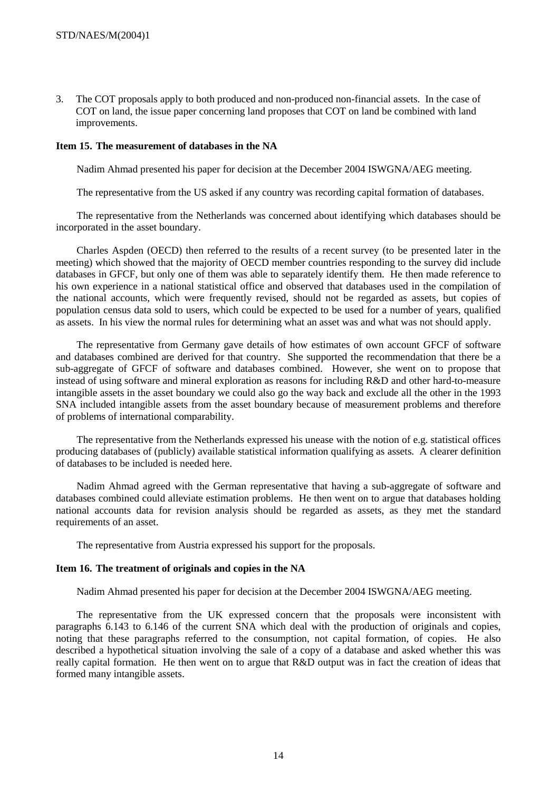3. The COT proposals apply to both produced and non-produced non-financial assets. In the case of COT on land, the issue paper concerning land proposes that COT on land be combined with land improvements.

# **Item 15. The measurement of databases in the NA**

Nadim Ahmad presented his paper for decision at the December 2004 ISWGNA/AEG meeting.

The representative from the US asked if any country was recording capital formation of databases.

The representative from the Netherlands was concerned about identifying which databases should be incorporated in the asset boundary.

Charles Aspden (OECD) then referred to the results of a recent survey (to be presented later in the meeting) which showed that the majority of OECD member countries responding to the survey did include databases in GFCF, but only one of them was able to separately identify them. He then made reference to his own experience in a national statistical office and observed that databases used in the compilation of the national accounts, which were frequently revised, should not be regarded as assets, but copies of population census data sold to users, which could be expected to be used for a number of years, qualified as assets. In his view the normal rules for determining what an asset was and what was not should apply.

The representative from Germany gave details of how estimates of own account GFCF of software and databases combined are derived for that country. She supported the recommendation that there be a sub-aggregate of GFCF of software and databases combined. However, she went on to propose that instead of using software and mineral exploration as reasons for including R&D and other hard-to-measure intangible assets in the asset boundary we could also go the way back and exclude all the other in the 1993 SNA included intangible assets from the asset boundary because of measurement problems and therefore of problems of international comparability.

The representative from the Netherlands expressed his unease with the notion of e.g. statistical offices producing databases of (publicly) available statistical information qualifying as assets. A clearer definition of databases to be included is needed here.

Nadim Ahmad agreed with the German representative that having a sub-aggregate of software and databases combined could alleviate estimation problems. He then went on to argue that databases holding national accounts data for revision analysis should be regarded as assets, as they met the standard requirements of an asset.

The representative from Austria expressed his support for the proposals.

# **Item 16. The treatment of originals and copies in the NA**

Nadim Ahmad presented his paper for decision at the December 2004 ISWGNA/AEG meeting.

The representative from the UK expressed concern that the proposals were inconsistent with paragraphs 6.143 to 6.146 of the current SNA which deal with the production of originals and copies, noting that these paragraphs referred to the consumption, not capital formation, of copies. He also described a hypothetical situation involving the sale of a copy of a database and asked whether this was really capital formation. He then went on to argue that R&D output was in fact the creation of ideas that formed many intangible assets.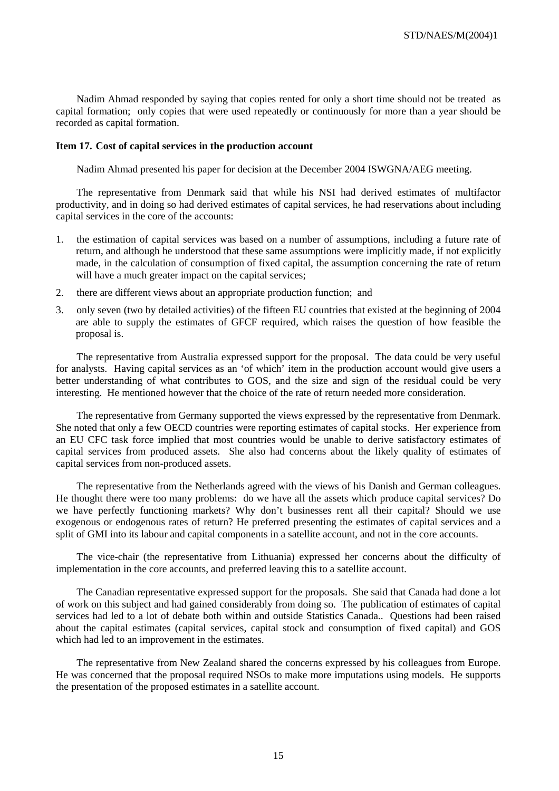Nadim Ahmad responded by saying that copies rented for only a short time should not be treated as capital formation; only copies that were used repeatedly or continuously for more than a year should be recorded as capital formation.

#### **Item 17. Cost of capital services in the production account**

Nadim Ahmad presented his paper for decision at the December 2004 ISWGNA/AEG meeting.

The representative from Denmark said that while his NSI had derived estimates of multifactor productivity, and in doing so had derived estimates of capital services, he had reservations about including capital services in the core of the accounts:

- 1. the estimation of capital services was based on a number of assumptions, including a future rate of return, and although he understood that these same assumptions were implicitly made, if not explicitly made, in the calculation of consumption of fixed capital, the assumption concerning the rate of return will have a much greater impact on the capital services:
- 2. there are different views about an appropriate production function; and
- 3. only seven (two by detailed activities) of the fifteen EU countries that existed at the beginning of 2004 are able to supply the estimates of GFCF required, which raises the question of how feasible the proposal is.

The representative from Australia expressed support for the proposal. The data could be very useful for analysts. Having capital services as an 'of which' item in the production account would give users a better understanding of what contributes to GOS, and the size and sign of the residual could be very interesting. He mentioned however that the choice of the rate of return needed more consideration.

The representative from Germany supported the views expressed by the representative from Denmark. She noted that only a few OECD countries were reporting estimates of capital stocks. Her experience from an EU CFC task force implied that most countries would be unable to derive satisfactory estimates of capital services from produced assets. She also had concerns about the likely quality of estimates of capital services from non-produced assets.

The representative from the Netherlands agreed with the views of his Danish and German colleagues. He thought there were too many problems: do we have all the assets which produce capital services? Do we have perfectly functioning markets? Why don't businesses rent all their capital? Should we use exogenous or endogenous rates of return? He preferred presenting the estimates of capital services and a split of GMI into its labour and capital components in a satellite account, and not in the core accounts.

The vice-chair (the representative from Lithuania) expressed her concerns about the difficulty of implementation in the core accounts, and preferred leaving this to a satellite account.

The Canadian representative expressed support for the proposals. She said that Canada had done a lot of work on this subject and had gained considerably from doing so. The publication of estimates of capital services had led to a lot of debate both within and outside Statistics Canada.. Questions had been raised about the capital estimates (capital services, capital stock and consumption of fixed capital) and GOS which had led to an improvement in the estimates.

The representative from New Zealand shared the concerns expressed by his colleagues from Europe. He was concerned that the proposal required NSOs to make more imputations using models. He supports the presentation of the proposed estimates in a satellite account.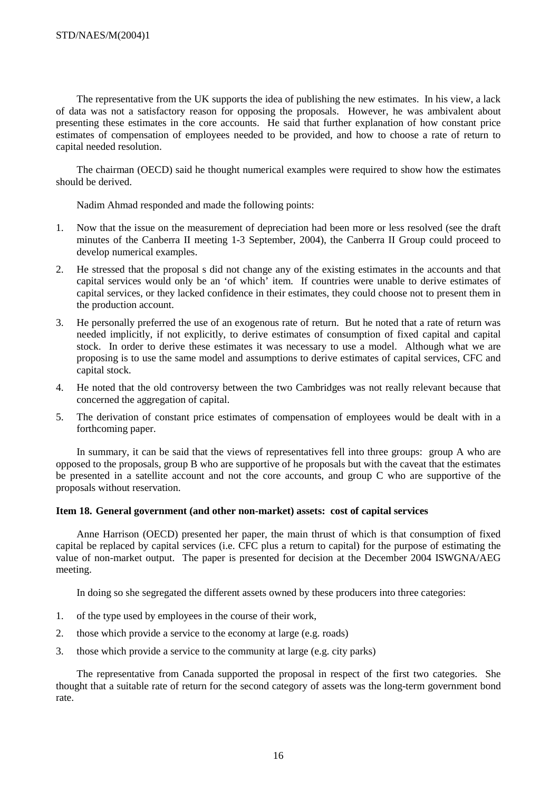The representative from the UK supports the idea of publishing the new estimates. In his view, a lack of data was not a satisfactory reason for opposing the proposals. However, he was ambivalent about presenting these estimates in the core accounts. He said that further explanation of how constant price estimates of compensation of employees needed to be provided, and how to choose a rate of return to capital needed resolution.

The chairman (OECD) said he thought numerical examples were required to show how the estimates should be derived.

Nadim Ahmad responded and made the following points:

- 1. Now that the issue on the measurement of depreciation had been more or less resolved (see the draft minutes of the Canberra II meeting 1-3 September, 2004), the Canberra II Group could proceed to develop numerical examples.
- 2. He stressed that the proposal s did not change any of the existing estimates in the accounts and that capital services would only be an 'of which' item. If countries were unable to derive estimates of capital services, or they lacked confidence in their estimates, they could choose not to present them in the production account.
- 3. He personally preferred the use of an exogenous rate of return. But he noted that a rate of return was needed implicitly, if not explicitly, to derive estimates of consumption of fixed capital and capital stock. In order to derive these estimates it was necessary to use a model. Although what we are proposing is to use the same model and assumptions to derive estimates of capital services, CFC and capital stock.
- 4. He noted that the old controversy between the two Cambridges was not really relevant because that concerned the aggregation of capital.
- 5. The derivation of constant price estimates of compensation of employees would be dealt with in a forthcoming paper.

In summary, it can be said that the views of representatives fell into three groups: group A who are opposed to the proposals, group B who are supportive of he proposals but with the caveat that the estimates be presented in a satellite account and not the core accounts, and group C who are supportive of the proposals without reservation.

# **Item 18. General government (and other non-market) assets: cost of capital services**

Anne Harrison (OECD) presented her paper, the main thrust of which is that consumption of fixed capital be replaced by capital services (i.e. CFC plus a return to capital) for the purpose of estimating the value of non-market output. The paper is presented for decision at the December 2004 ISWGNA/AEG meeting.

In doing so she segregated the different assets owned by these producers into three categories:

- 1. of the type used by employees in the course of their work,
- 2. those which provide a service to the economy at large (e.g. roads)
- 3. those which provide a service to the community at large (e.g. city parks)

The representative from Canada supported the proposal in respect of the first two categories. She thought that a suitable rate of return for the second category of assets was the long-term government bond rate.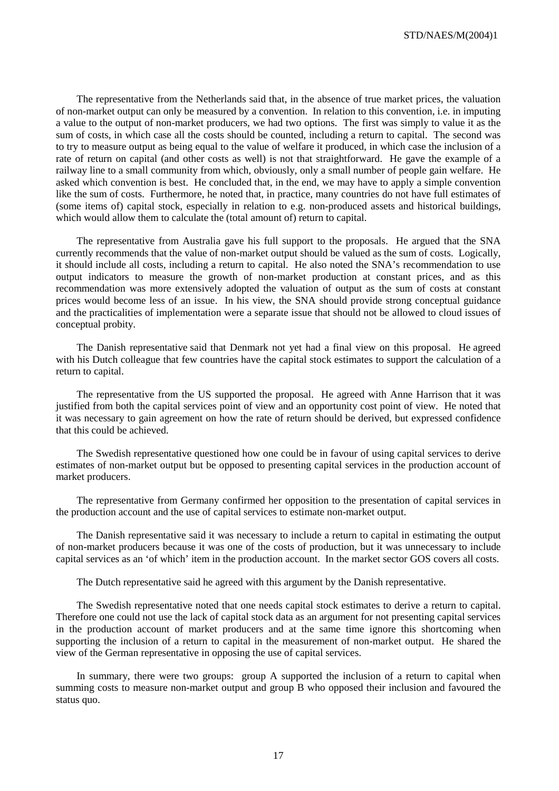STD/NAES/M(2004)1

The representative from the Netherlands said that, in the absence of true market prices, the valuation of non-market output can only be measured by a convention. In relation to this convention, i.e. in imputing a value to the output of non-market producers, we had two options. The first was simply to value it as the sum of costs, in which case all the costs should be counted, including a return to capital. The second was to try to measure output as being equal to the value of welfare it produced, in which case the inclusion of a rate of return on capital (and other costs as well) is not that straightforward. He gave the example of a railway line to a small community from which, obviously, only a small number of people gain welfare. He asked which convention is best. He concluded that, in the end, we may have to apply a simple convention like the sum of costs. Furthermore, he noted that, in practice, many countries do not have full estimates of (some items of) capital stock, especially in relation to e.g. non-produced assets and historical buildings, which would allow them to calculate the (total amount of) return to capital.

The representative from Australia gave his full support to the proposals. He argued that the SNA currently recommends that the value of non-market output should be valued as the sum of costs. Logically, it should include all costs, including a return to capital. He also noted the SNA's recommendation to use output indicators to measure the growth of non-market production at constant prices, and as this recommendation was more extensively adopted the valuation of output as the sum of costs at constant prices would become less of an issue. In his view, the SNA should provide strong conceptual guidance and the practicalities of implementation were a separate issue that should not be allowed to cloud issues of conceptual probity.

The Danish representative said that Denmark not yet had a final view on this proposal. He agreed with his Dutch colleague that few countries have the capital stock estimates to support the calculation of a return to capital.

The representative from the US supported the proposal. He agreed with Anne Harrison that it was justified from both the capital services point of view and an opportunity cost point of view. He noted that it was necessary to gain agreement on how the rate of return should be derived, but expressed confidence that this could be achieved.

The Swedish representative questioned how one could be in favour of using capital services to derive estimates of non-market output but be opposed to presenting capital services in the production account of market producers.

The representative from Germany confirmed her opposition to the presentation of capital services in the production account and the use of capital services to estimate non-market output.

The Danish representative said it was necessary to include a return to capital in estimating the output of non-market producers because it was one of the costs of production, but it was unnecessary to include capital services as an 'of which' item in the production account. In the market sector GOS covers all costs.

The Dutch representative said he agreed with this argument by the Danish representative.

The Swedish representative noted that one needs capital stock estimates to derive a return to capital. Therefore one could not use the lack of capital stock data as an argument for not presenting capital services in the production account of market producers and at the same time ignore this shortcoming when supporting the inclusion of a return to capital in the measurement of non-market output. He shared the view of the German representative in opposing the use of capital services.

In summary, there were two groups: group A supported the inclusion of a return to capital when summing costs to measure non-market output and group B who opposed their inclusion and favoured the status quo.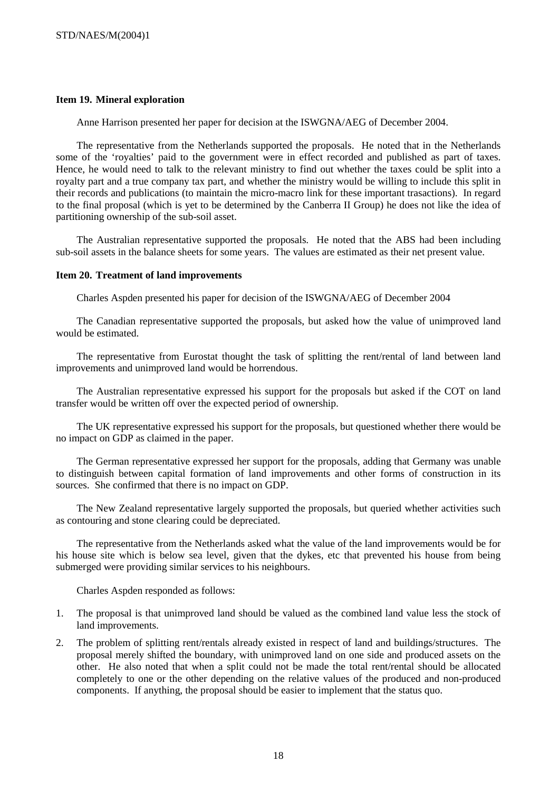# **Item 19. Mineral exploration**

Anne Harrison presented her paper for decision at the ISWGNA/AEG of December 2004.

The representative from the Netherlands supported the proposals. He noted that in the Netherlands some of the 'royalties' paid to the government were in effect recorded and published as part of taxes. Hence, he would need to talk to the relevant ministry to find out whether the taxes could be split into a royalty part and a true company tax part, and whether the ministry would be willing to include this split in their records and publications (to maintain the micro-macro link for these important trasactions). In regard to the final proposal (which is yet to be determined by the Canberra II Group) he does not like the idea of partitioning ownership of the sub-soil asset.

The Australian representative supported the proposals. He noted that the ABS had been including sub-soil assets in the balance sheets for some years. The values are estimated as their net present value.

#### **Item 20. Treatment of land improvements**

Charles Aspden presented his paper for decision of the ISWGNA/AEG of December 2004

The Canadian representative supported the proposals, but asked how the value of unimproved land would be estimated.

The representative from Eurostat thought the task of splitting the rent/rental of land between land improvements and unimproved land would be horrendous.

The Australian representative expressed his support for the proposals but asked if the COT on land transfer would be written off over the expected period of ownership.

The UK representative expressed his support for the proposals, but questioned whether there would be no impact on GDP as claimed in the paper.

The German representative expressed her support for the proposals, adding that Germany was unable to distinguish between capital formation of land improvements and other forms of construction in its sources. She confirmed that there is no impact on GDP.

The New Zealand representative largely supported the proposals, but queried whether activities such as contouring and stone clearing could be depreciated.

The representative from the Netherlands asked what the value of the land improvements would be for his house site which is below sea level, given that the dykes, etc that prevented his house from being submerged were providing similar services to his neighbours.

Charles Aspden responded as follows:

- 1. The proposal is that unimproved land should be valued as the combined land value less the stock of land improvements.
- 2. The problem of splitting rent/rentals already existed in respect of land and buildings/structures. The proposal merely shifted the boundary, with unimproved land on one side and produced assets on the other. He also noted that when a split could not be made the total rent/rental should be allocated completely to one or the other depending on the relative values of the produced and non-produced components. If anything, the proposal should be easier to implement that the status quo.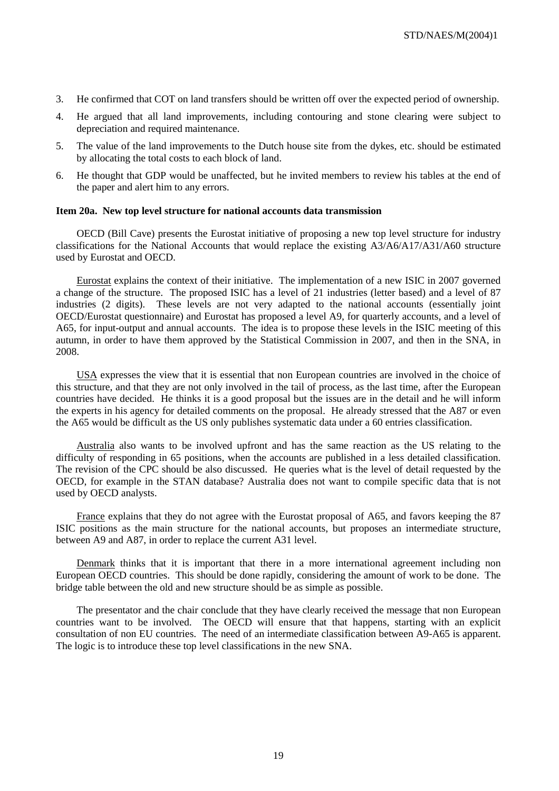- 3. He confirmed that COT on land transfers should be written off over the expected period of ownership.
- 4. He argued that all land improvements, including contouring and stone clearing were subject to depreciation and required maintenance.
- 5. The value of the land improvements to the Dutch house site from the dykes, etc. should be estimated by allocating the total costs to each block of land.
- 6. He thought that GDP would be unaffected, but he invited members to review his tables at the end of the paper and alert him to any errors.

#### **Item 20a. New top level structure for national accounts data transmission**

OECD (Bill Cave) presents the Eurostat initiative of proposing a new top level structure for industry classifications for the National Accounts that would replace the existing A3/A6/A17/A31/A60 structure used by Eurostat and OECD.

Eurostat explains the context of their initiative. The implementation of a new ISIC in 2007 governed a change of the structure. The proposed ISIC has a level of 21 industries (letter based) and a level of 87 industries (2 digits). These levels are not very adapted to the national accounts (essentially joint OECD/Eurostat questionnaire) and Eurostat has proposed a level A9, for quarterly accounts, and a level of A65, for input-output and annual accounts. The idea is to propose these levels in the ISIC meeting of this autumn, in order to have them approved by the Statistical Commission in 2007, and then in the SNA, in 2008.

USA expresses the view that it is essential that non European countries are involved in the choice of this structure, and that they are not only involved in the tail of process, as the last time, after the European countries have decided. He thinks it is a good proposal but the issues are in the detail and he will inform the experts in his agency for detailed comments on the proposal. He already stressed that the A87 or even the A65 would be difficult as the US only publishes systematic data under a 60 entries classification.

Australia also wants to be involved upfront and has the same reaction as the US relating to the difficulty of responding in 65 positions, when the accounts are published in a less detailed classification. The revision of the CPC should be also discussed. He queries what is the level of detail requested by the OECD, for example in the STAN database? Australia does not want to compile specific data that is not used by OECD analysts.

France explains that they do not agree with the Eurostat proposal of A65, and favors keeping the 87 ISIC positions as the main structure for the national accounts, but proposes an intermediate structure, between A9 and A87, in order to replace the current A31 level.

Denmark thinks that it is important that there in a more international agreement including non European OECD countries. This should be done rapidly, considering the amount of work to be done. The bridge table between the old and new structure should be as simple as possible.

The presentator and the chair conclude that they have clearly received the message that non European countries want to be involved. The OECD will ensure that that happens, starting with an explicit consultation of non EU countries. The need of an intermediate classification between A9-A65 is apparent. The logic is to introduce these top level classifications in the new SNA.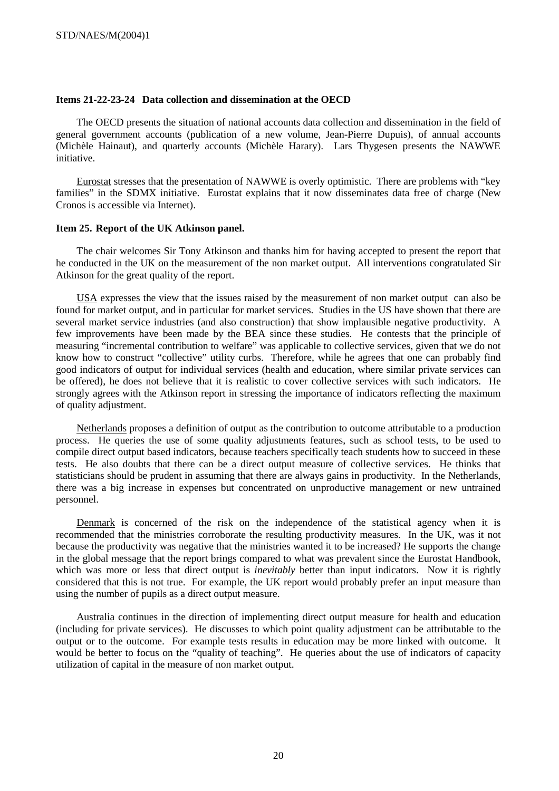# **Items 21-22-23-24 Data collection and dissemination at the OECD**

The OECD presents the situation of national accounts data collection and dissemination in the field of general government accounts (publication of a new volume, Jean-Pierre Dupuis), of annual accounts (Michèle Hainaut), and quarterly accounts (Michèle Harary). Lars Thygesen presents the NAWWE initiative.

Eurostat stresses that the presentation of NAWWE is overly optimistic. There are problems with "key families" in the SDMX initiative. Eurostat explains that it now disseminates data free of charge (New Cronos is accessible via Internet).

#### **Item 25. Report of the UK Atkinson panel.**

The chair welcomes Sir Tony Atkinson and thanks him for having accepted to present the report that he conducted in the UK on the measurement of the non market output. All interventions congratulated Sir Atkinson for the great quality of the report.

USA expresses the view that the issues raised by the measurement of non market output can also be found for market output, and in particular for market services. Studies in the US have shown that there are several market service industries (and also construction) that show implausible negative productivity. A few improvements have been made by the BEA since these studies. He contests that the principle of measuring "incremental contribution to welfare" was applicable to collective services, given that we do not know how to construct "collective" utility curbs. Therefore, while he agrees that one can probably find good indicators of output for individual services (health and education, where similar private services can be offered), he does not believe that it is realistic to cover collective services with such indicators. He strongly agrees with the Atkinson report in stressing the importance of indicators reflecting the maximum of quality adjustment.

Netherlands proposes a definition of output as the contribution to outcome attributable to a production process. He queries the use of some quality adjustments features, such as school tests, to be used to compile direct output based indicators, because teachers specifically teach students how to succeed in these tests. He also doubts that there can be a direct output measure of collective services. He thinks that statisticians should be prudent in assuming that there are always gains in productivity. In the Netherlands, there was a big increase in expenses but concentrated on unproductive management or new untrained personnel.

Denmark is concerned of the risk on the independence of the statistical agency when it is recommended that the ministries corroborate the resulting productivity measures. In the UK, was it not because the productivity was negative that the ministries wanted it to be increased? He supports the change in the global message that the report brings compared to what was prevalent since the Eurostat Handbook, which was more or less that direct output is *inevitably* better than input indicators. Now it is rightly considered that this is not true. For example, the UK report would probably prefer an input measure than using the number of pupils as a direct output measure.

Australia continues in the direction of implementing direct output measure for health and education (including for private services). He discusses to which point quality adjustment can be attributable to the output or to the outcome. For example tests results in education may be more linked with outcome. It would be better to focus on the "quality of teaching". He queries about the use of indicators of capacity utilization of capital in the measure of non market output.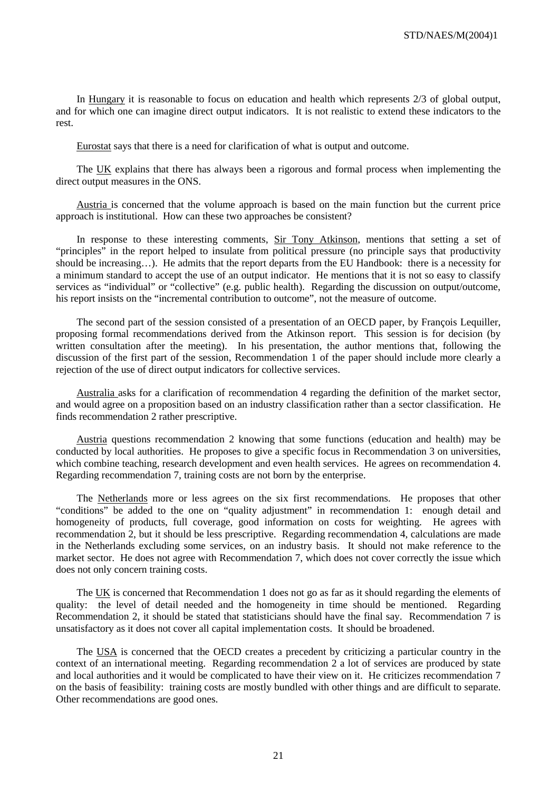In Hungary it is reasonable to focus on education and health which represents 2/3 of global output, and for which one can imagine direct output indicators. It is not realistic to extend these indicators to the rest.

Eurostat says that there is a need for clarification of what is output and outcome.

The UK explains that there has always been a rigorous and formal process when implementing the direct output measures in the ONS.

Austria is concerned that the volume approach is based on the main function but the current price approach is institutional. How can these two approaches be consistent?

In response to these interesting comments, Sir Tony Atkinson, mentions that setting a set of "principles" in the report helped to insulate from political pressure (no principle says that productivity should be increasing…). He admits that the report departs from the EU Handbook: there is a necessity for a minimum standard to accept the use of an output indicator. He mentions that it is not so easy to classify services as "individual" or "collective" (e.g. public health). Regarding the discussion on output/outcome, his report insists on the "incremental contribution to outcome", not the measure of outcome.

The second part of the session consisted of a presentation of an OECD paper, by François Lequiller, proposing formal recommendations derived from the Atkinson report. This session is for decision (by written consultation after the meeting). In his presentation, the author mentions that, following the discussion of the first part of the session, Recommendation 1 of the paper should include more clearly a rejection of the use of direct output indicators for collective services.

Australia asks for a clarification of recommendation 4 regarding the definition of the market sector, and would agree on a proposition based on an industry classification rather than a sector classification. He finds recommendation 2 rather prescriptive.

Austria questions recommendation 2 knowing that some functions (education and health) may be conducted by local authorities. He proposes to give a specific focus in Recommendation 3 on universities, which combine teaching, research development and even health services. He agrees on recommendation 4. Regarding recommendation 7, training costs are not born by the enterprise.

The Netherlands more or less agrees on the six first recommendations. He proposes that other "conditions" be added to the one on "quality adjustment" in recommendation 1: enough detail and homogeneity of products, full coverage, good information on costs for weighting. He agrees with recommendation 2, but it should be less prescriptive. Regarding recommendation 4, calculations are made in the Netherlands excluding some services, on an industry basis. It should not make reference to the market sector. He does not agree with Recommendation 7, which does not cover correctly the issue which does not only concern training costs.

The UK is concerned that Recommendation 1 does not go as far as it should regarding the elements of quality: the level of detail needed and the homogeneity in time should be mentioned. Regarding Recommendation 2, it should be stated that statisticians should have the final say. Recommendation 7 is unsatisfactory as it does not cover all capital implementation costs. It should be broadened.

The USA is concerned that the OECD creates a precedent by criticizing a particular country in the context of an international meeting. Regarding recommendation 2 a lot of services are produced by state and local authorities and it would be complicated to have their view on it. He criticizes recommendation 7 on the basis of feasibility: training costs are mostly bundled with other things and are difficult to separate. Other recommendations are good ones.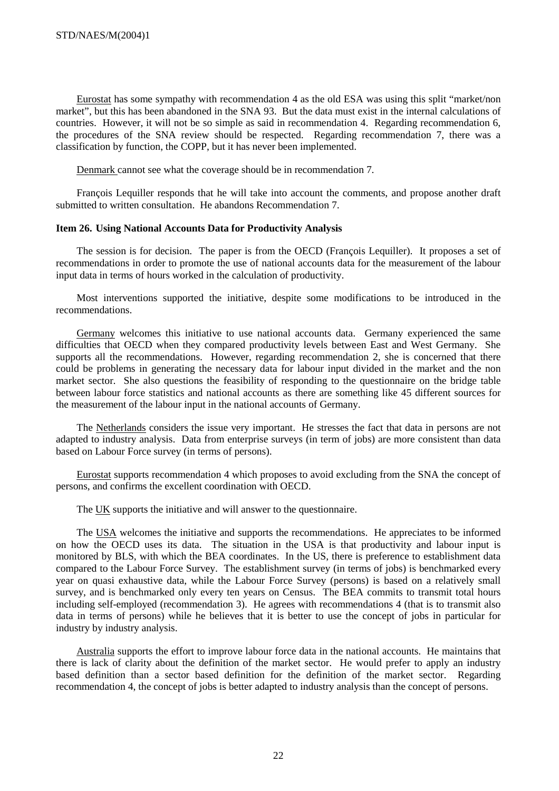Eurostat has some sympathy with recommendation 4 as the old ESA was using this split "market/non market", but this has been abandoned in the SNA 93. But the data must exist in the internal calculations of countries. However, it will not be so simple as said in recommendation 4. Regarding recommendation 6, the procedures of the SNA review should be respected. Regarding recommendation 7, there was a classification by function, the COPP, but it has never been implemented.

Denmark cannot see what the coverage should be in recommendation 7.

François Lequiller responds that he will take into account the comments, and propose another draft submitted to written consultation. He abandons Recommendation 7.

#### **Item 26. Using National Accounts Data for Productivity Analysis**

The session is for decision. The paper is from the OECD (François Lequiller). It proposes a set of recommendations in order to promote the use of national accounts data for the measurement of the labour input data in terms of hours worked in the calculation of productivity.

Most interventions supported the initiative, despite some modifications to be introduced in the recommendations.

Germany welcomes this initiative to use national accounts data. Germany experienced the same difficulties that OECD when they compared productivity levels between East and West Germany. She supports all the recommendations. However, regarding recommendation 2, she is concerned that there could be problems in generating the necessary data for labour input divided in the market and the non market sector. She also questions the feasibility of responding to the questionnaire on the bridge table between labour force statistics and national accounts as there are something like 45 different sources for the measurement of the labour input in the national accounts of Germany.

The Netherlands considers the issue very important. He stresses the fact that data in persons are not adapted to industry analysis. Data from enterprise surveys (in term of jobs) are more consistent than data based on Labour Force survey (in terms of persons).

Eurostat supports recommendation 4 which proposes to avoid excluding from the SNA the concept of persons, and confirms the excellent coordination with OECD.

The UK supports the initiative and will answer to the questionnaire.

The USA welcomes the initiative and supports the recommendations. He appreciates to be informed on how the OECD uses its data. The situation in the USA is that productivity and labour input is monitored by BLS, with which the BEA coordinates. In the US, there is preference to establishment data compared to the Labour Force Survey. The establishment survey (in terms of jobs) is benchmarked every year on quasi exhaustive data, while the Labour Force Survey (persons) is based on a relatively small survey, and is benchmarked only every ten years on Census. The BEA commits to transmit total hours including self-employed (recommendation 3). He agrees with recommendations 4 (that is to transmit also data in terms of persons) while he believes that it is better to use the concept of jobs in particular for industry by industry analysis.

Australia supports the effort to improve labour force data in the national accounts. He maintains that there is lack of clarity about the definition of the market sector. He would prefer to apply an industry based definition than a sector based definition for the definition of the market sector. Regarding recommendation 4, the concept of jobs is better adapted to industry analysis than the concept of persons.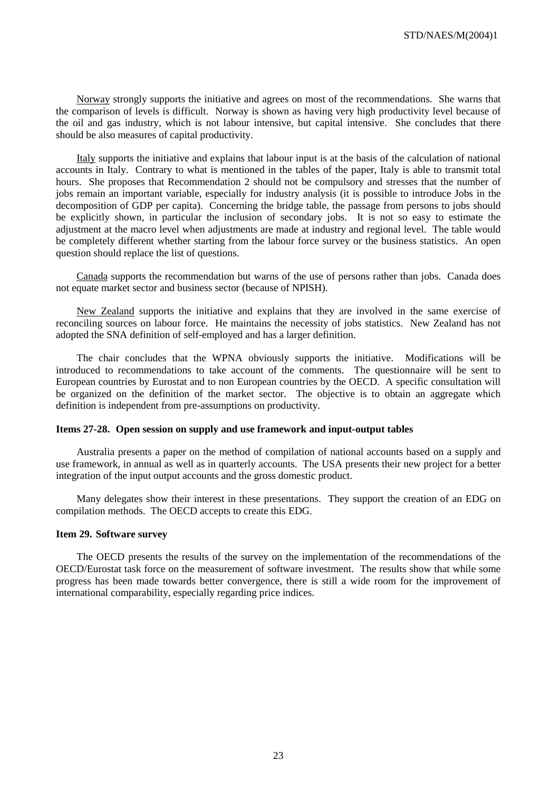Norway strongly supports the initiative and agrees on most of the recommendations. She warns that the comparison of levels is difficult. Norway is shown as having very high productivity level because of the oil and gas industry, which is not labour intensive, but capital intensive. She concludes that there should be also measures of capital productivity.

Italy supports the initiative and explains that labour input is at the basis of the calculation of national accounts in Italy. Contrary to what is mentioned in the tables of the paper, Italy is able to transmit total hours. She proposes that Recommendation 2 should not be compulsory and stresses that the number of jobs remain an important variable, especially for industry analysis (it is possible to introduce Jobs in the decomposition of GDP per capita). Concerning the bridge table, the passage from persons to jobs should be explicitly shown, in particular the inclusion of secondary jobs. It is not so easy to estimate the adjustment at the macro level when adjustments are made at industry and regional level. The table would be completely different whether starting from the labour force survey or the business statistics. An open question should replace the list of questions.

Canada supports the recommendation but warns of the use of persons rather than jobs. Canada does not equate market sector and business sector (because of NPISH).

New Zealand supports the initiative and explains that they are involved in the same exercise of reconciling sources on labour force. He maintains the necessity of jobs statistics. New Zealand has not adopted the SNA definition of self-employed and has a larger definition.

The chair concludes that the WPNA obviously supports the initiative. Modifications will be introduced to recommendations to take account of the comments. The questionnaire will be sent to European countries by Eurostat and to non European countries by the OECD. A specific consultation will be organized on the definition of the market sector. The objective is to obtain an aggregate which definition is independent from pre-assumptions on productivity.

#### **Items 27-28. Open session on supply and use framework and input-output tables**

Australia presents a paper on the method of compilation of national accounts based on a supply and use framework, in annual as well as in quarterly accounts. The USA presents their new project for a better integration of the input output accounts and the gross domestic product.

Many delegates show their interest in these presentations. They support the creation of an EDG on compilation methods. The OECD accepts to create this EDG.

### **Item 29. Software survey**

The OECD presents the results of the survey on the implementation of the recommendations of the OECD/Eurostat task force on the measurement of software investment. The results show that while some progress has been made towards better convergence, there is still a wide room for the improvement of international comparability, especially regarding price indices.